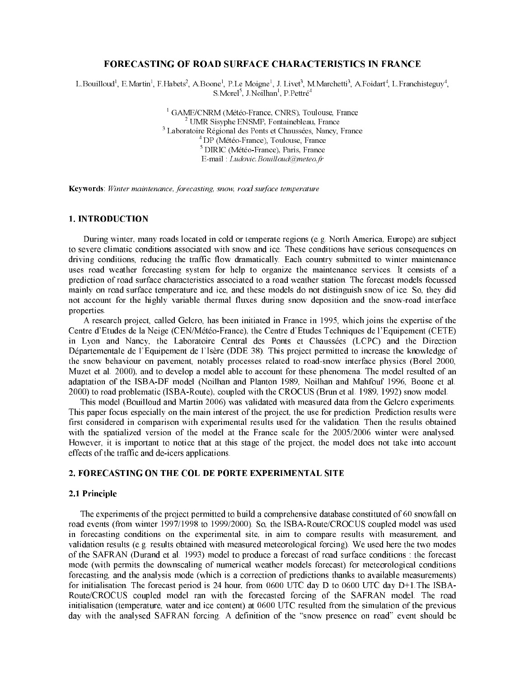# **FORECASTING OF ROAD SURFACE CHARACTERISTICS IN FRANCE**

L. Bouilloud<sup>1</sup>, E. Martin<sup>1</sup>, F. Habets<sup>2</sup>, A. Boone<sup>1</sup>, P. Le Moigne<sup>1</sup>, J. Livet<sup>3</sup>, M. Marchetti<sup>3</sup>, A. Foidart<sup>4</sup>, L. Franchisteguy<sup>4</sup>, S Morel<sup>5</sup>, J Noilhan<sup>1</sup>, P Pettré<sup>4</sup>

> <sup>1</sup> GAME/CNRM (Météo-France, CNRS), Toulouse, France <sup>2</sup> UMR Sisyphe ENSMP, Fontainebleau, France <sup>3</sup> Laboratoire Régional des Ponts et Chaussées, Nancy, France <sup>4</sup> DP (Météo-France), Toulouse, France <sup>5</sup> DIRIC (Météo-France), Paris, France E-mail Ludovic Bouilloud@meteo.fr

Keywords Winter maintenance, forecasting, snow, road surface temperature

# **1. INTRODUCTION**

During winter, many roads located in cold or temperate regions (e.g. North America, Europe) are subject to severe climatic conditions associated with snow and ice. These conditions have serious consequences on driving conditions, reducing the traffic flow dramatically. Each country submitted to winter maintenance uses road weather forecasting system for help to organize the maintenance services. It consists of a prediction of road surface characteristics associated to a road weather station. The forecast models focussed mainly on road surface temperature and ice, and these models do not distinguish snow of ice. So, they did not account for the highly variable thermal fluxes during snow deposition and the snow-road interface properties.

A research project, called Gelcro, has been initiated in France in 1995, which joins the expertise of the Centre d'Etudes de la Neige (CEN/Météo-France), the Centre d'Etudes Techniques de l'Equipement (CETE) in Lyon and Nancy, the Laboratoire Central des Ponts et Chaussées (LCPC) and the Direction Départementale de l'Equipement de l'Isère (DDE 38). This project permitted to increase the knowledge of the snow behaviour on pavement, notably processes related to road-snow interface physics (Borel 2000, Muzet et al. 2000), and to develop a model able to account for these phenomena. The model resulted of an adaptation of the ISBA-DF model (Noilhan and Planton 1989, Noilhan and Mahfouf 1996, Boone et al. 2000) to road problematic (ISBA-Route), coupled with the CROCUS (Brun et al. 1989, 1992) snow model.

This model (Bouilloud and Martin 2006) was validated with measured data from the Gelcro experiments. This paper focus especially on the main interest of the project, the use for prediction. Prediction results were first considered in comparison with experimental results used for the validation. Then the results obtained with the spatialized version of the model at the France scale for the 2005/2006 winter were analysed. However, it is important to notice that at this stage of the project, the model does not take into account effects of the traffic and de-icers applications.

## 2. FORECASTING ON THE COL DE PORTE EXPERIMENTAL SITE

# 2.1 Principle

The experiments of the project permitted to build a comprehensive database constituted of 60 snowfall on road events (from winter 1997/1998 to 1999/2000). So, the ISBA-Route/CROCUS coupled model was used in forecasting conditions on the experimental site, in aim to compare results with measurement, and validation results (e.g. results obtained with measured meteorological forcing). We used here the two modes of the SAFRAN (Durand et al. 1993) model to produce a forecast of road surface conditions: the forecast mode (with permits the downscaling of numerical weather models forecast) for meteorological conditions forecasting, and the analysis mode (which is a correction of predictions thanks to available measurements) for initialisation. The forecast period is 24 hour, from 0600 UTC day D to 0600 UTC day D+1. The ISBA-Route/CROCUS coupled model ran with the forecasted forcing of the SAFRAN model. The road initialisation (temperature, water and ice content) at 0600 UTC resulted from the simulation of the previous day with the analysed SAFRAN forcing. A definition of the "snow presence on road" event should be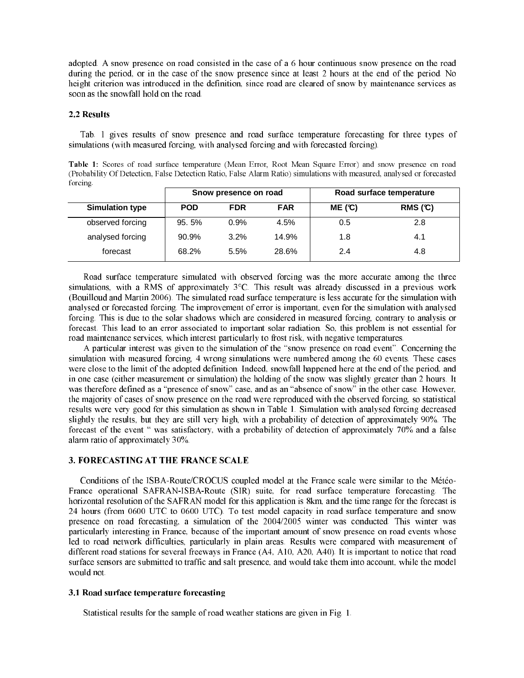adopted. A snow presence on road consisted in the case of a 6 hour continuous snow presence on the road during the period, or in the case of the snow presence since at least 2 hours at the end of the period. No height criterion was introduced in the definition, since road are cleared of snow by maintenance services as soon as the snowfall hold on the road.

#### 2.2 Results

Tab. 1 gives results of snow presence and road surface temperature forecasting for three types of simulations (with measured forcing, with analysed forcing and with forecasted forcing).

Table 1: Scores of road surface temperature (Mean Error, Root Mean Square Error) and snow presence on road (Probability Of Detection, False Detection Ratio, False Alarm Ratio) simulations with measured, analysed or forecasted forcing

|                        | Snow presence on road |            |            | Road surface temperature |        |
|------------------------|-----------------------|------------|------------|--------------------------|--------|
| <b>Simulation type</b> | <b>POD</b>            | <b>FDR</b> | <b>FAR</b> | ME(C)                    | RMS(C) |
| observed forcing       | 95.5%                 | 0.9%       | 4.5%       | 0.5                      | 2.8    |
| analysed forcing       | 90.9%                 | 3.2%       | 14.9%      | 1.8                      | 4.1    |
| forecast               | 68.2%                 | 5.5%       | 28.6%      | 2.4                      | 4.8    |

Road surface temperature simulated with observed forcing was the more accurate among the three simulations, with a RMS of approximately 3°C. This result was already discussed in a previous work (Bouilloud and Martin 2006). The simulated road surface temperature is less accurate for the simulation with analysed or forecasted forcing. The improvement of error is important, even for the simulation with analysed forcing. This is due to the solar shadows which are considered in measured forcing, contrary to analysis or forecast. This lead to an error associated to important solar radiation. So, this problem is not essential for road maintenance services, which interest particularly to frost risk, with negative temperatures.

A particular interest was given to the simulation of the "snow presence on road event". Concerning the simulation with measured forcing, 4 wrong simulations were numbered among the 60 events. These cases were close to the limit of the adopted definition. Indeed, snowfall happened here at the end of the period, and in one case (either measurement or simulation) the holding of the snow was slightly greater than 2 hours. It was therefore defined as a "presence of snow" case, and as an "absence of snow" in the other case. However, the majority of cases of snow presence on the road were reproduced with the observed forcing, so statistical results were very good for this simulation as shown in Table 1. Simulation with analysed forcing decreased slightly the results, but they are still very high, with a probability of detection of approximately 90%. The forecast of the event " was satisfactory, with a probability of detection of approximately 70% and a false alarm ratio of approximately 30%.

#### 3. FORECASTING AT THE FRANCE SCALE

Conditions of the ISBA-Route/CROCUS coupled model at the France scale were similar to the Météo-France operational SAFRAN-ISBA-Route (SIR) suite, for road surface temperature forecasting. The horizontal resolution of the SAFRAN model for this application is 8km, and the time range for the forecast is 24 hours (from 0600 UTC to 0600 UTC). To test model capacity in road surface temperature and snow presence on road forecasting, a simulation of the 2004/2005 winter was conducted. This winter was particularly interesting in France, because of the important amount of snow presence on road events whose led to road network difficulties, particularly in plain areas. Results were compared with measurement of different road stations for several freeways in France (A4, A10, A20, A40). It is important to notice that road surface sensors are submitted to traffic and salt presence, and would take them into account, while the model would not.

# 3.1 Road surface temperature forecasting

Statistical results for the sample of road weather stations are given in Fig. 1.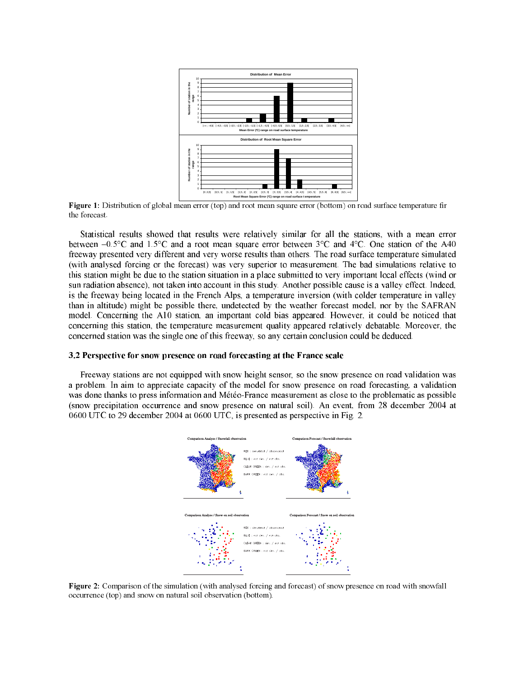

Figure 1: Distribution of global mean error (top) and root mean square Error (bottom) on road surface temperature fir the forecast

Statistical results showed that results were relatively similar for all the stations, with a mean error between  $-0.5^{\circ}$ C and  $1.5^{\circ}$ C and a root mean square error between  $3^{\circ}$ C and  $4^{\circ}$ C. One station of the A40 freeway presented very different and very worse results than others. The road surface temperature simulated (with analysed forcing or the forecast) was very superior to measurement. The bad simulations relative to this station might be due to the station situation in a place submitted to very important local effects (wind or sun radiation absence), not taken into account in this study. Another possible cause is a valley effect. Indeed, is the freeway being located in the French Alps, a temperature inversion (with colder temperature in valley than in altitude) might be possible there, undetected by the weather forecast model, nor by the SAFRAN model. Concerning the A10 station, an important cold bias appeared. However, it could be noticed that concerning this station, the temperature measurement quality appeared relatively debatable. Moreover, the concerned station was the single one of this freeway, so any certain conclusion could be deduced.

# 3.2 Perspective for snow presence on road forecasting at the France scale



Figure 2: Comparison of the simulation (with analysed forcing and forecast) of snow presence on road with snowfall occurrence (top) and snow on natural soil observation (bottom).